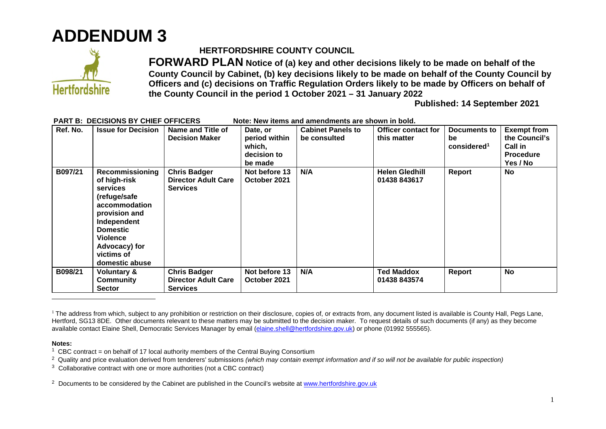



## **HERTFORDSHIRE COUNTY COUNCIL**

**FORWARD PLAN Notice of (a) key and other decisions likely to be made on behalf of the County Council by Cabinet, (b) key decisions likely to be made on behalf of the County Council by Officers and (c) decisions on Traffic Regulation Orders likely to be made by Officers on behalf of the County Council in the period 1 October 2021 – 31 January 2022** 

**Published: 14 September 2021**

| Ref. No. | <b>Issue for Decision</b>                                                                                                                                                                           | Name and Title of<br><b>Decision Maker</b>                           | Date, or<br>period within<br>which,<br>decision to<br>be made | <b>Cabinet Panels to</b><br>be consulted | <b>Officer contact for</b><br>this matter | Documents to<br>be<br>considered <sup>1</sup> | <b>Exempt from</b><br>the Council's<br><b>Call in</b><br><b>Procedure</b><br>Yes / No |
|----------|-----------------------------------------------------------------------------------------------------------------------------------------------------------------------------------------------------|----------------------------------------------------------------------|---------------------------------------------------------------|------------------------------------------|-------------------------------------------|-----------------------------------------------|---------------------------------------------------------------------------------------|
| B097/21  | Recommissioning<br>of high-risk<br><b>services</b><br>(refuge/safe<br>accommodation<br>provision and<br>Independent<br><b>Domestic</b><br>Violence<br>Advocacy) for<br>victims of<br>domestic abuse | <b>Chris Badger</b><br><b>Director Adult Care</b><br><b>Services</b> | Not before 13<br>October 2021                                 | N/A                                      | <b>Helen Gledhill</b><br>01438 843617     | Report                                        | No                                                                                    |
| B098/21  | Voluntary &<br>Community<br><b>Sector</b>                                                                                                                                                           | <b>Chris Badger</b><br><b>Director Adult Care</b><br><b>Services</b> | Not before 13<br>October 2021                                 | N/A                                      | <b>Ted Maddox</b><br>01438 843574         | Report                                        | No                                                                                    |

**PART B: DECISIONS BY CHIEF OFFICERS Note: New items and amendments are shown in bold.** 

## **Notes:**

<sup>2</sup> Documents to be considered by the Cabinet are published in the Council's website at www.hertfordshire.gov.uk

<sup>&</sup>lt;sup>1</sup> The address from which, subject to any prohibition or restriction on their disclosure, copies of, or extracts from, any document listed is available is County Hall, Pegs Lane, Hertford, SG13 8DE. Other documents relevant to these matters may be submitted to the decision maker. To request details of such documents (if any) as they become available contact Elaine Shell, Democratic Services Manager by email (elaine.shell@hertfordshire.gov.uk) or phone (01992 555565).

<sup>&</sup>lt;sup>1</sup> CBC contract = on behalf of 17 local authority members of the Central Buying Consortium

<sup>2</sup> Quality and price evaluation derived from tenderers' submissions *(which may contain exempt information and if so will not be available for public inspection)*

 $3$  Collaborative contract with one or more authorities (not a CBC contract)